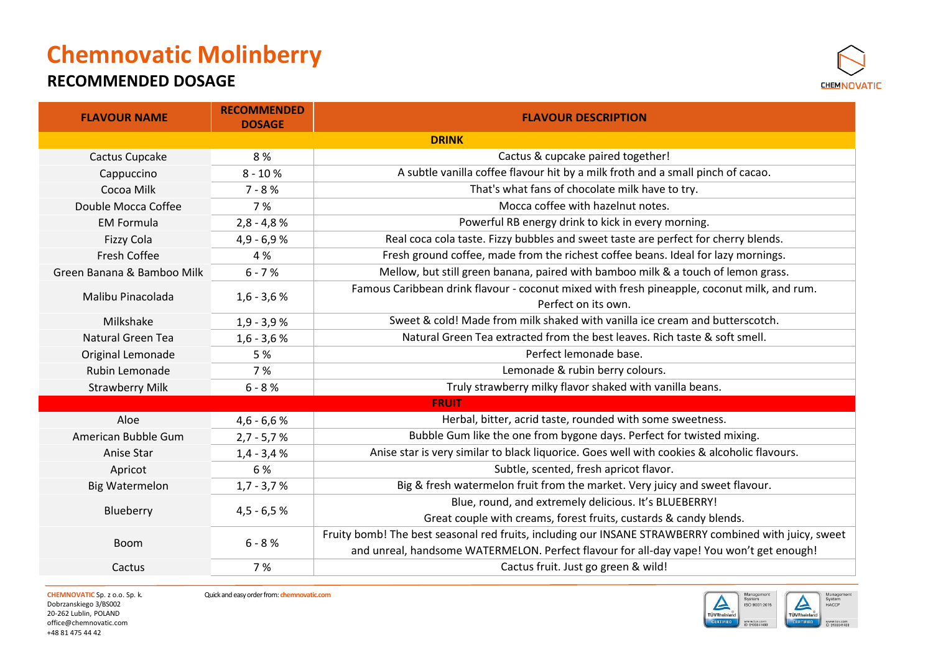### **RECOMMENDED DOSAGE**



| <b>FLAVOUR NAME</b>        | <b>RECOMMENDED</b><br><b>DOSAGE</b> | <b>FLAVOUR DESCRIPTION</b>                                                                                                                                                                        |
|----------------------------|-------------------------------------|---------------------------------------------------------------------------------------------------------------------------------------------------------------------------------------------------|
|                            |                                     | <b>DRINK</b>                                                                                                                                                                                      |
| Cactus Cupcake             | 8 %                                 | Cactus & cupcake paired together!                                                                                                                                                                 |
| Cappuccino                 | $8 - 10%$                           | A subtle vanilla coffee flavour hit by a milk froth and a small pinch of cacao.                                                                                                                   |
| Cocoa Milk                 | $7 - 8%$                            | That's what fans of chocolate milk have to try.                                                                                                                                                   |
| Double Mocca Coffee        | 7 %                                 | Mocca coffee with hazelnut notes.                                                                                                                                                                 |
| <b>EM Formula</b>          | $2,8 - 4,8 %$                       | Powerful RB energy drink to kick in every morning.                                                                                                                                                |
| <b>Fizzy Cola</b>          | $4,9 - 6,9 %$                       | Real coca cola taste. Fizzy bubbles and sweet taste are perfect for cherry blends.                                                                                                                |
| <b>Fresh Coffee</b>        | 4 %                                 | Fresh ground coffee, made from the richest coffee beans. Ideal for lazy mornings.                                                                                                                 |
| Green Banana & Bamboo Milk | $6 - 7%$                            | Mellow, but still green banana, paired with bamboo milk & a touch of lemon grass.                                                                                                                 |
| Malibu Pinacolada          | $1,6 - 3,6 %$                       | Famous Caribbean drink flavour - coconut mixed with fresh pineapple, coconut milk, and rum.<br>Perfect on its own.                                                                                |
| Milkshake                  | $1,9 - 3,9 %$                       | Sweet & cold! Made from milk shaked with vanilla ice cream and butterscotch.                                                                                                                      |
| Natural Green Tea          | $1,6 - 3,6 %$                       | Natural Green Tea extracted from the best leaves. Rich taste & soft smell.                                                                                                                        |
| Original Lemonade          | 5 %                                 | Perfect lemonade base.                                                                                                                                                                            |
| Rubin Lemonade             | 7 %                                 | Lemonade & rubin berry colours.                                                                                                                                                                   |
| <b>Strawberry Milk</b>     | $6 - 8 %$                           | Truly strawberry milky flavor shaked with vanilla beans.                                                                                                                                          |
|                            |                                     | <b>FRUIT</b>                                                                                                                                                                                      |
| Aloe                       | $4,6 - 6,6 %$                       | Herbal, bitter, acrid taste, rounded with some sweetness.                                                                                                                                         |
| American Bubble Gum        | $2,7 - 5,7 %$                       | Bubble Gum like the one from bygone days. Perfect for twisted mixing.                                                                                                                             |
| Anise Star                 | $1,4 - 3,4 %$                       | Anise star is very similar to black liquorice. Goes well with cookies & alcoholic flavours.                                                                                                       |
| Apricot                    | 6 %                                 | Subtle, scented, fresh apricot flavor.                                                                                                                                                            |
| <b>Big Watermelon</b>      | $1,7 - 3,7 %$                       | Big & fresh watermelon fruit from the market. Very juicy and sweet flavour.                                                                                                                       |
| Blueberry                  | $4,5 - 6,5 %$                       | Blue, round, and extremely delicious. It's BLUEBERRY!                                                                                                                                             |
|                            |                                     | Great couple with creams, forest fruits, custards & candy blends.                                                                                                                                 |
| <b>Boom</b>                | $6 - 8 %$                           | Fruity bomb! The best seasonal red fruits, including our INSANE STRAWBERRY combined with juicy, sweet<br>and unreal, handsome WATERMELON. Perfect flavour for all-day vape! You won't get enough! |
| Cactus                     | 7 %                                 | Cactus fruit. Just go green & wild!                                                                                                                                                               |

Dobrzanskiego 3/BS002 20-262 Lublin, POLAND [office@chemnovatic.com](mailto:office@chemnovatic.com) +48 81 475 44 42



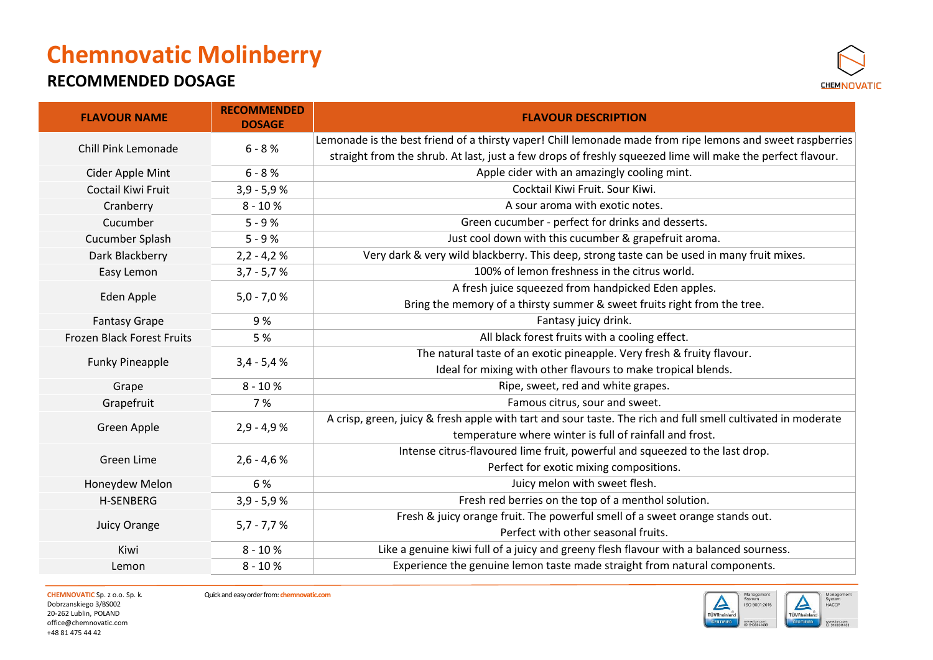### **RECOMMENDED DOSAGE**



| <b>FLAVOUR NAME</b>               | <b>RECOMMENDED</b><br><b>DOSAGE</b> | <b>FLAVOUR DESCRIPTION</b>                                                                                   |
|-----------------------------------|-------------------------------------|--------------------------------------------------------------------------------------------------------------|
| Chill Pink Lemonade               | $6 - 8 %$                           | Lemonade is the best friend of a thirsty vaper! Chill lemonade made from ripe lemons and sweet raspberries   |
|                                   |                                     | straight from the shrub. At last, just a few drops of freshly squeezed lime will make the perfect flavour.   |
| Cider Apple Mint                  | $6 - 8 %$                           | Apple cider with an amazingly cooling mint.                                                                  |
| <b>Coctail Kiwi Fruit</b>         | $3,9 - 5,9 %$                       | Cocktail Kiwi Fruit. Sour Kiwi.                                                                              |
| Cranberry                         | $8 - 10%$                           | A sour aroma with exotic notes.                                                                              |
| Cucumber                          | $5 - 9%$                            | Green cucumber - perfect for drinks and desserts.                                                            |
| Cucumber Splash                   | $5 - 9%$                            | Just cool down with this cucumber & grapefruit aroma.                                                        |
| Dark Blackberry                   | $2,2 - 4,2 %$                       | Very dark & very wild blackberry. This deep, strong taste can be used in many fruit mixes.                   |
| Easy Lemon                        | $3,7 - 5,7 %$                       | 100% of lemon freshness in the citrus world.                                                                 |
|                                   |                                     | A fresh juice squeezed from handpicked Eden apples.                                                          |
| Eden Apple                        | $5,0 - 7,0 %$                       | Bring the memory of a thirsty summer & sweet fruits right from the tree.                                     |
| <b>Fantasy Grape</b>              | 9%                                  | Fantasy juicy drink.                                                                                         |
| <b>Frozen Black Forest Fruits</b> | 5 %                                 | All black forest fruits with a cooling effect.                                                               |
| <b>Funky Pineapple</b>            |                                     | The natural taste of an exotic pineapple. Very fresh & fruity flavour.                                       |
|                                   | $3,4 - 5,4 %$                       | Ideal for mixing with other flavours to make tropical blends.                                                |
| Grape                             | $8 - 10%$                           | Ripe, sweet, red and white grapes.                                                                           |
| Grapefruit                        | 7 %                                 | Famous citrus, sour and sweet.                                                                               |
|                                   | $2,9 - 4,9 %$<br>Green Apple        | A crisp, green, juicy & fresh apple with tart and sour taste. The rich and full smell cultivated in moderate |
|                                   |                                     | temperature where winter is full of rainfall and frost.                                                      |
| Green Lime                        | $2,6 - 4,6 %$                       | Intense citrus-flavoured lime fruit, powerful and squeezed to the last drop.                                 |
|                                   |                                     | Perfect for exotic mixing compositions.                                                                      |
| Honeydew Melon                    | 6 %                                 | Juicy melon with sweet flesh.                                                                                |
| <b>H-SENBERG</b>                  | $3,9 - 5,9 %$                       | Fresh red berries on the top of a menthol solution.                                                          |
| <b>Juicy Orange</b>               | $5,7 - 7,7 %$                       | Fresh & juicy orange fruit. The powerful smell of a sweet orange stands out.                                 |
|                                   |                                     | Perfect with other seasonal fruits.                                                                          |
| Kiwi                              | $8 - 10%$                           | Like a genuine kiwi full of a juicy and greeny flesh flavour with a balanced sourness.                       |
| Lemon                             | $8 - 10%$                           | Experience the genuine lemon taste made straight from natural components.                                    |

Dobrzanskiego 3/BS002 20-262 Lublin, POLAND [office@chemnovatic.com](mailto:office@chemnovatic.com) +48 81 475 44 42

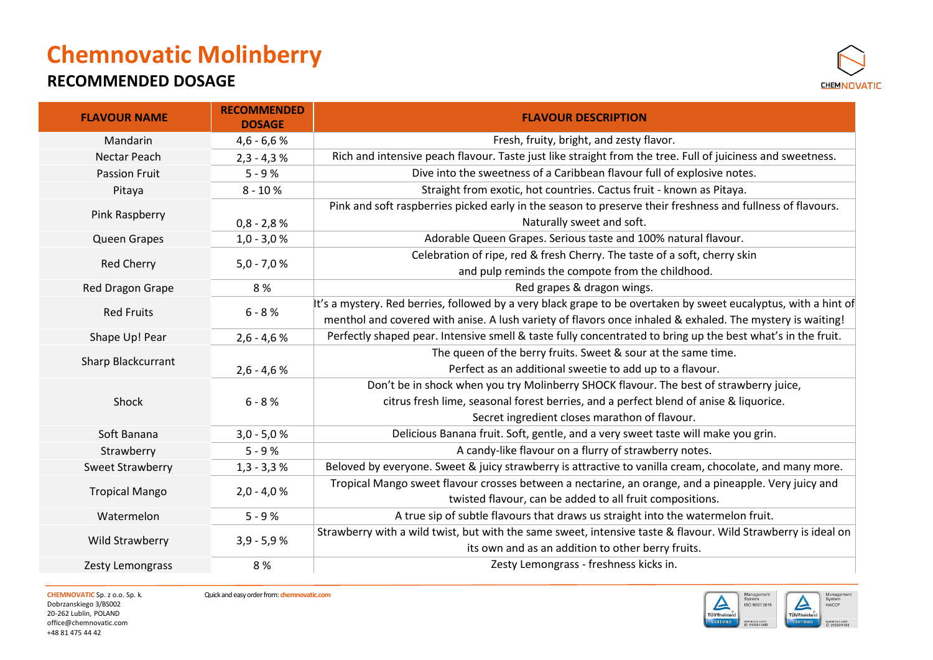#### **RECOMMENDED DOSAGE**



| <b>FLAVOUR NAME</b>   | <b>RECOMMENDED</b><br><b>DOSAGE</b> | <b>FLAVOUR DESCRIPTION</b>                                                                                      |
|-----------------------|-------------------------------------|-----------------------------------------------------------------------------------------------------------------|
| Mandarin              | $4,6 - 6,6 %$                       | Fresh, fruity, bright, and zesty flavor.                                                                        |
| Nectar Peach          | $2,3 - 4,3 %$                       | Rich and intensive peach flavour. Taste just like straight from the tree. Full of juiciness and sweetness.      |
| <b>Passion Fruit</b>  | $5 - 9%$                            | Dive into the sweetness of a Caribbean flavour full of explosive notes.                                         |
| Pitaya                | $8 - 10%$                           | Straight from exotic, hot countries. Cactus fruit - known as Pitaya.                                            |
| Pink Raspberry        |                                     | Pink and soft raspberries picked early in the season to preserve their freshness and fullness of flavours.      |
|                       | $0,8 - 2,8 %$                       | Naturally sweet and soft.                                                                                       |
| Queen Grapes          | $1,0 - 3,0 %$                       | Adorable Queen Grapes. Serious taste and 100% natural flavour.                                                  |
| <b>Red Cherry</b>     | $5,0 - 7,0 %$                       | Celebration of ripe, red & fresh Cherry. The taste of a soft, cherry skin                                       |
|                       |                                     | and pulp reminds the compote from the childhood.                                                                |
| Red Dragon Grape      | 8%                                  | Red grapes & dragon wings.                                                                                      |
| <b>Red Fruits</b>     | $6 - 8 %$                           | It's a mystery. Red berries, followed by a very black grape to be overtaken by sweet eucalyptus, with a hint of |
|                       |                                     | menthol and covered with anise. A lush variety of flavors once inhaled & exhaled. The mystery is waiting!       |
| Shape Up! Pear        | $2,6 - 4,6 %$                       | Perfectly shaped pear. Intensive smell & taste fully concentrated to bring up the best what's in the fruit.     |
|                       |                                     | The queen of the berry fruits. Sweet & sour at the same time.                                                   |
| Sharp Blackcurrant    | $2,6 - 4,6 %$                       | Perfect as an additional sweetie to add up to a flavour.                                                        |
|                       |                                     | Don't be in shock when you try Molinberry SHOCK flavour. The best of strawberry juice,                          |
| Shock                 | $6 - 8 %$                           | citrus fresh lime, seasonal forest berries, and a perfect blend of anise & liquorice.                           |
|                       |                                     | Secret ingredient closes marathon of flavour.                                                                   |
| Soft Banana           | $3,0 - 5,0 %$                       | Delicious Banana fruit. Soft, gentle, and a very sweet taste will make you grin.                                |
| Strawberry            | $5 - 9%$                            | A candy-like flavour on a flurry of strawberry notes.                                                           |
| Sweet Strawberry      | $1,3 - 3,3 %$                       | Beloved by everyone. Sweet & juicy strawberry is attractive to vanilla cream, chocolate, and many more.         |
| <b>Tropical Mango</b> | $2,0 - 4,0 %$                       | Tropical Mango sweet flavour crosses between a nectarine, an orange, and a pineapple. Very juicy and            |
|                       |                                     | twisted flavour, can be added to all fruit compositions.                                                        |
| Watermelon            | $5 - 9%$                            | A true sip of subtle flavours that draws us straight into the watermelon fruit.                                 |
|                       | $3,9 - 5,9 %$                       | Strawberry with a wild twist, but with the same sweet, intensive taste & flavour. Wild Strawberry is ideal on   |
| Wild Strawberry       |                                     | its own and as an addition to other berry fruits.                                                               |
| Zesty Lemongrass      | 8%                                  | Zesty Lemongrass - freshness kicks in.                                                                          |

Dobrzanskiego 3/BS002 20-262 Lublin, POLAND [office@chemnovatic.com](mailto:office@chemnovatic.com) +48 81 475 44 42

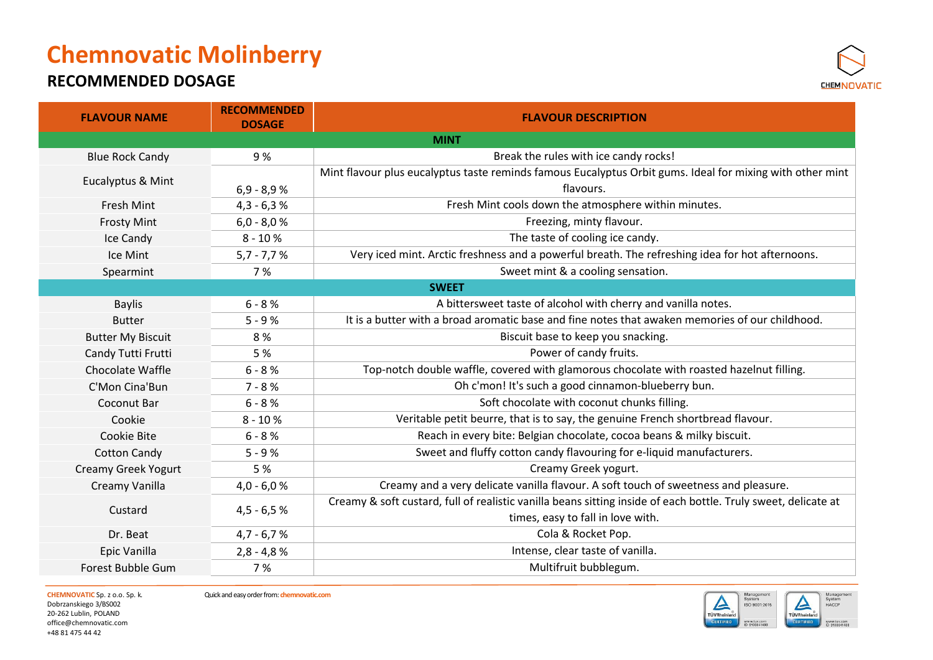### **RECOMMENDED DOSAGE**



| <b>FLAVOUR NAME</b>      | <b>RECOMMENDED</b><br><b>DOSAGE</b> | <b>FLAVOUR DESCRIPTION</b>                                                                                     |
|--------------------------|-------------------------------------|----------------------------------------------------------------------------------------------------------------|
|                          |                                     | <b>MINT</b>                                                                                                    |
| <b>Blue Rock Candy</b>   | 9%                                  | Break the rules with ice candy rocks!                                                                          |
|                          |                                     | Mint flavour plus eucalyptus taste reminds famous Eucalyptus Orbit gums. Ideal for mixing with other mint      |
| Eucalyptus & Mint        | $6,9 - 8,9 %$                       | flavours.                                                                                                      |
| Fresh Mint               | $4,3 - 6,3 %$                       | Fresh Mint cools down the atmosphere within minutes.                                                           |
| <b>Frosty Mint</b>       | $6,0 - 8,0 %$                       | Freezing, minty flavour.                                                                                       |
| Ice Candy                | $8 - 10%$                           | The taste of cooling ice candy.                                                                                |
| Ice Mint                 | $5,7 - 7,7 %$                       | Very iced mint. Arctic freshness and a powerful breath. The refreshing idea for hot afternoons.                |
| Spearmint                | 7%                                  | Sweet mint & a cooling sensation.                                                                              |
|                          |                                     | <b>SWEET</b>                                                                                                   |
| <b>Baylis</b>            | $6 - 8 %$                           | A bittersweet taste of alcohol with cherry and vanilla notes.                                                  |
| <b>Butter</b>            | $5 - 9%$                            | It is a butter with a broad aromatic base and fine notes that awaken memories of our childhood.                |
| <b>Butter My Biscuit</b> | 8%                                  | Biscuit base to keep you snacking.                                                                             |
| Candy Tutti Frutti       | 5 %                                 | Power of candy fruits.                                                                                         |
| Chocolate Waffle         | $6 - 8 %$                           | Top-notch double waffle, covered with glamorous chocolate with roasted hazelnut filling.                       |
| C'Mon Cina'Bun           | $7 - 8%$                            | Oh c'mon! It's such a good cinnamon-blueberry bun.                                                             |
| Coconut Bar              | $6 - 8 %$                           | Soft chocolate with coconut chunks filling.                                                                    |
| Cookie                   | $8 - 10%$                           | Veritable petit beurre, that is to say, the genuine French shortbread flavour.                                 |
| Cookie Bite              | $6 - 8 %$                           | Reach in every bite: Belgian chocolate, cocoa beans & milky biscuit.                                           |
| <b>Cotton Candy</b>      | $5 - 9%$                            | Sweet and fluffy cotton candy flavouring for e-liquid manufacturers.                                           |
| Creamy Greek Yogurt      | 5 %                                 | Creamy Greek yogurt.                                                                                           |
| Creamy Vanilla           | $4,0 - 6,0 %$                       | Creamy and a very delicate vanilla flavour. A soft touch of sweetness and pleasure.                            |
| Custard                  | $4,5 - 6,5 %$                       | Creamy & soft custard, full of realistic vanilla beans sitting inside of each bottle. Truly sweet, delicate at |
|                          |                                     | times, easy to fall in love with.                                                                              |
| Dr. Beat                 | $4,7 - 6,7 %$                       | Cola & Rocket Pop.                                                                                             |
| Epic Vanilla             | $2,8 - 4,8 %$                       | Intense, clear taste of vanilla.                                                                               |
| Forest Bubble Gum        | 7%                                  | Multifruit bubblegum.                                                                                          |

Dobrzanskiego 3/BS002 20-262 Lublin, POLAND [office@chemnovatic.com](mailto:office@chemnovatic.com) +48 81 475 44 42



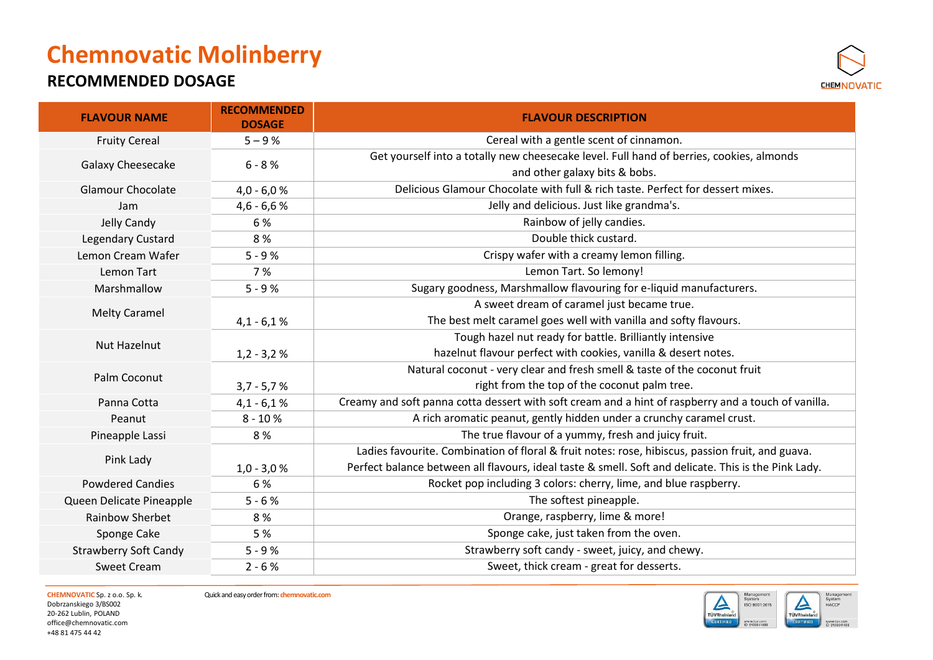### **RECOMMENDED DOSAGE**



| <b>FLAVOUR NAME</b>          | <b>RECOMMENDED</b><br><b>DOSAGE</b> | <b>FLAVOUR DESCRIPTION</b>                                                                           |
|------------------------------|-------------------------------------|------------------------------------------------------------------------------------------------------|
| <b>Fruity Cereal</b>         | $5 - 9%$                            | Cereal with a gentle scent of cinnamon.                                                              |
|                              | $6 - 8 %$                           | Get yourself into a totally new cheesecake level. Full hand of berries, cookies, almonds             |
| Galaxy Cheesecake            |                                     | and other galaxy bits & bobs.                                                                        |
| <b>Glamour Chocolate</b>     | $4,0 - 6,0 %$                       | Delicious Glamour Chocolate with full & rich taste. Perfect for dessert mixes.                       |
| Jam                          | $4,6 - 6,6 %$                       | Jelly and delicious. Just like grandma's.                                                            |
| Jelly Candy                  | 6 %                                 | Rainbow of jelly candies.                                                                            |
| Legendary Custard            | 8%                                  | Double thick custard.                                                                                |
| Lemon Cream Wafer            | $5 - 9%$                            | Crispy wafer with a creamy lemon filling.                                                            |
| Lemon Tart                   | 7 %                                 | Lemon Tart. So lemony!                                                                               |
| Marshmallow                  | $5 - 9%$                            | Sugary goodness, Marshmallow flavouring for e-liquid manufacturers.                                  |
| <b>Melty Caramel</b>         |                                     | A sweet dream of caramel just became true.                                                           |
|                              | $4,1 - 6,1%$                        | The best melt caramel goes well with vanilla and softy flavours.                                     |
| <b>Nut Hazelnut</b>          |                                     | Tough hazel nut ready for battle. Brilliantly intensive                                              |
|                              | $1,2 - 3,2 %$                       | hazelnut flavour perfect with cookies, vanilla & desert notes.                                       |
| Palm Coconut                 |                                     | Natural coconut - very clear and fresh smell & taste of the coconut fruit                            |
|                              | $3,7 - 5,7 %$                       | right from the top of the coconut palm tree.                                                         |
| Panna Cotta                  | $4,1 - 6,1%$                        | Creamy and soft panna cotta dessert with soft cream and a hint of raspberry and a touch of vanilla.  |
| Peanut                       | $8 - 10 %$                          | A rich aromatic peanut, gently hidden under a crunchy caramel crust.                                 |
| Pineapple Lassi              | 8%                                  | The true flavour of a yummy, fresh and juicy fruit.                                                  |
| Pink Lady                    |                                     | Ladies favourite. Combination of floral & fruit notes: rose, hibiscus, passion fruit, and guava.     |
|                              | $1,0 - 3,0 %$                       | Perfect balance between all flavours, ideal taste & smell. Soft and delicate. This is the Pink Lady. |
| <b>Powdered Candies</b>      | 6 %                                 | Rocket pop including 3 colors: cherry, lime, and blue raspberry.                                     |
| Queen Delicate Pineapple     | $5 - 6%$                            | The softest pineapple.                                                                               |
| Rainbow Sherbet              | 8%                                  | Orange, raspberry, lime & more!                                                                      |
| Sponge Cake                  | 5 %                                 | Sponge cake, just taken from the oven.                                                               |
| <b>Strawberry Soft Candy</b> | $5 - 9%$                            | Strawberry soft candy - sweet, juicy, and chewy.                                                     |
| <b>Sweet Cream</b>           | $2 - 6%$                            | Sweet, thick cream - great for desserts.                                                             |

Dobrzanskiego 3/BS002 20-262 Lublin, POLAND [office@chemnovatic.com](mailto:office@chemnovatic.com) +48 81 475 44 42



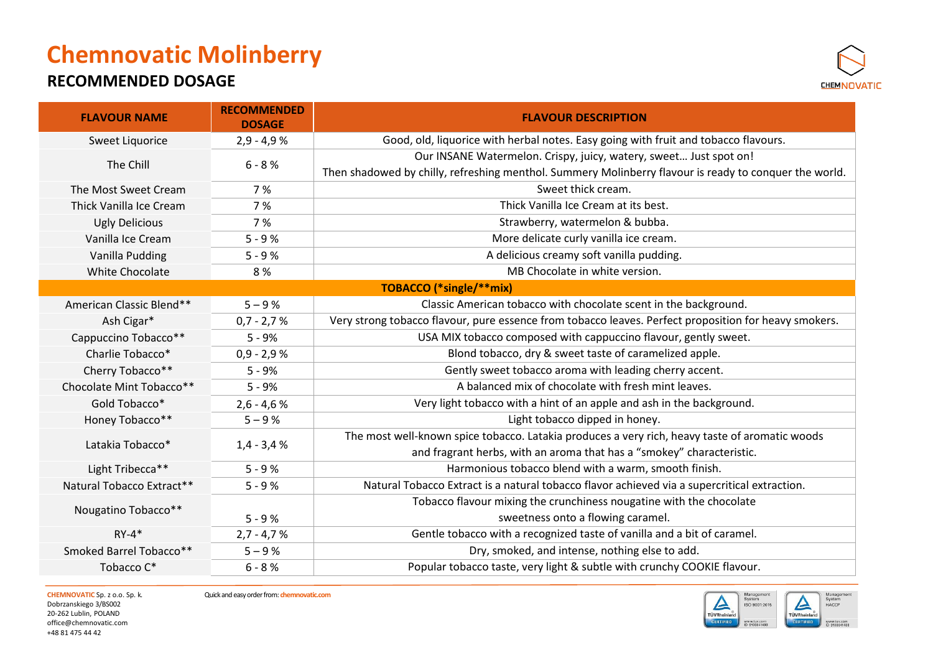### **RECOMMENDED DOSAGE**



| <b>FLAVOUR NAME</b>       | <b>RECOMMENDED</b><br><b>DOSAGE</b> | <b>FLAVOUR DESCRIPTION</b>                                                                             |
|---------------------------|-------------------------------------|--------------------------------------------------------------------------------------------------------|
| Sweet Liquorice           | $2,9 - 4,9 %$                       | Good, old, liquorice with herbal notes. Easy going with fruit and tobacco flavours.                    |
|                           | $6 - 8 %$                           | Our INSANE Watermelon. Crispy, juicy, watery, sweet Just spot on!                                      |
| The Chill                 |                                     | Then shadowed by chilly, refreshing menthol. Summery Molinberry flavour is ready to conquer the world. |
| The Most Sweet Cream      | 7%                                  | Sweet thick cream.                                                                                     |
| Thick Vanilla Ice Cream   | 7%                                  | Thick Vanilla Ice Cream at its best.                                                                   |
| <b>Ugly Delicious</b>     | 7 %                                 | Strawberry, watermelon & bubba.                                                                        |
| Vanilla Ice Cream         | $5 - 9%$                            | More delicate curly vanilla ice cream.                                                                 |
| Vanilla Pudding           | $5 - 9%$                            | A delicious creamy soft vanilla pudding.                                                               |
| <b>White Chocolate</b>    | 8%                                  | MB Chocolate in white version.                                                                         |
|                           |                                     | TOBACCO (*single/**mix)                                                                                |
| American Classic Blend**  | $5 - 9%$                            | Classic American tobacco with chocolate scent in the background.                                       |
| Ash Cigar*                | $0,7 - 2,7 %$                       | Very strong tobacco flavour, pure essence from tobacco leaves. Perfect proposition for heavy smokers.  |
| Cappuccino Tobacco**      | $5 - 9%$                            | USA MIX tobacco composed with cappuccino flavour, gently sweet.                                        |
| Charlie Tobacco*          | $0,9 - 2,9 %$                       | Blond tobacco, dry & sweet taste of caramelized apple.                                                 |
| Cherry Tobacco**          | $5 - 9%$                            | Gently sweet tobacco aroma with leading cherry accent.                                                 |
| Chocolate Mint Tobacco**  | $5 - 9%$                            | A balanced mix of chocolate with fresh mint leaves.                                                    |
| Gold Tobacco*             | $2,6 - 4,6 %$                       | Very light tobacco with a hint of an apple and ash in the background.                                  |
| Honey Tobacco**           | $5 - 9%$                            | Light tobacco dipped in honey.                                                                         |
|                           |                                     | The most well-known spice tobacco. Latakia produces a very rich, heavy taste of aromatic woods         |
| Latakia Tobacco*          | $1,4 - 3,4 %$                       | and fragrant herbs, with an aroma that has a "smokey" characteristic.                                  |
| Light Tribecca**          | $5 - 9%$                            | Harmonious tobacco blend with a warm, smooth finish.                                                   |
| Natural Tobacco Extract** | $5 - 9%$                            | Natural Tobacco Extract is a natural tobacco flavor achieved via a supercritical extraction.           |
|                           |                                     | Tobacco flavour mixing the crunchiness nougatine with the chocolate                                    |
| Nougatino Tobacco**       | $5 - 9%$                            | sweetness onto a flowing caramel.                                                                      |
| $RY-4*$                   | $2,7 - 4,7 %$                       | Gentle tobacco with a recognized taste of vanilla and a bit of caramel.                                |
| Smoked Barrel Tobacco**   | $5 - 9%$                            | Dry, smoked, and intense, nothing else to add.                                                         |
| Tobacco C*                | $6 - 8 %$                           | Popular tobacco taste, very light & subtle with crunchy COOKIE flavour.                                |

Dobrzanskiego 3/BS002 20-262 Lublin, POLAND [office@chemnovatic.com](mailto:office@chemnovatic.com) +48 81 475 44 42